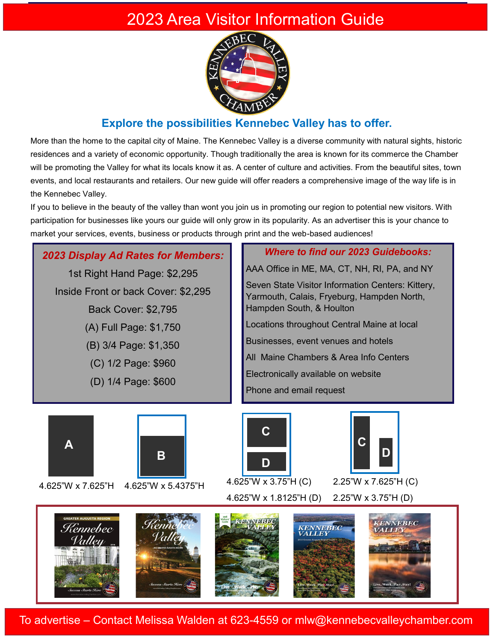## 2023 Area Visitor Information Guide



## **Explore the possibilities Kennebec Valley has to offer.**

More than the home to the capital city of Maine. The Kennebec Valley is a diverse community with natural sights, historic residences and a variety of economic opportunity. Though traditionally the area is known for its commerce the Chamber will be promoting the Valley for what its locals know it as. A center of culture and activities. From the beautiful sites, town events, and local restaurants and retailers. Our new guide will offer readers a comprehensive image of the way life is in the Kennebec Valley.

If you to believe in the beauty of the valley than wont you join us in promoting our region to potential new visitors. With participation for businesses like yours our guide will only grow in its popularity. As an advertiser this is your chance to market your services, events, business or products through print and the web-based audiences!



To advertise – Contact Melissa Walden at 623-4559 or mlw@kennebecvalleychamber.com